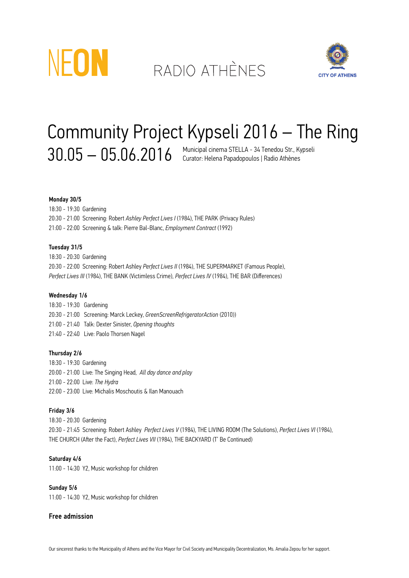

# RADIO ATHÈNES



## Community Project Kypseli 2016 – The Ring  $30.05-05.06.2016$  Municipal cinema STELLA - 34 Tenedou Str., Kypseli

## Monday 30/5

18:30 - 19:30 Gardening 20:30 - 21:00 Screening: Robert *Ashley Perfect Lives I* (1984), THE PARK (Privacy Rules) 21:00 - 22:00 Screening & talk: Pierre Bal-Blanc, *Employment Contract* (1992)

#### Tuesday 31/5

18:30 - 20:30 Gardening 20:30 - 22:00 Screening: Robert Ashley *Perfect Lives II* (1984), THE SUPERMARKET (Famous People), *Perfect Lives III* (1984), THE BANK (Victimless Crime), *Perfect Lives IV* (1984), THE BAR (Differences)

#### Wednesday 1/6

18:30 - 19:30 Gardening 20:30 - 21:00 Screening: Marck Leckey, *GreenScreenRefrigeratorAction* (2010)) 21:00 - 21:40 Talk: Dexter Sinister, *Opening thoughts* 21:40 - 22:40 Live: Paolo Thorsen Nagel

#### Thursday 2/6

18:30 - 19:30 Gardening 20:00 - 21:00 Live: The Singing Head, *All day dance and play* 21:00 - 22:00 Live: *The Hydra* 22:00 - 23:00 Live: Michalis Moschoutis & Ilan Manouach

## Friday 3/6

18:30 - 20:30 Gardening 20:30 - 21:45 Screening: Robert Ashley *Perfect Lives V* (1984), THE LIVING ROOM (The Solutions), *Perfect Lives VI* (1984), THE CHURCH (After the Fact), *Perfect Lives VII* (1984), THE BACKYARD (T' Be Continued)

### Saturday 4/6

11:00 - 14:30 Υ2, Music workshop for children

#### Sunday 5/6

11:00 - 14:30 Υ2, Music workshop for children

## Free admission